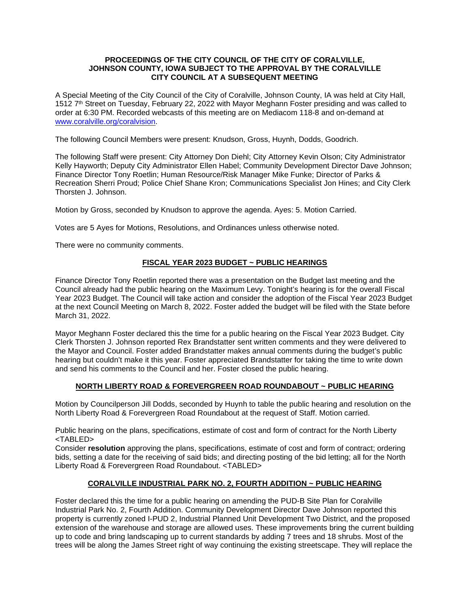### **PROCEEDINGS OF THE CITY COUNCIL OF THE CITY OF CORALVILLE, JOHNSON COUNTY, IOWA SUBJECT TO THE APPROVAL BY THE CORALVILLE CITY COUNCIL AT A SUBSEQUENT MEETING**

A Special Meeting of the City Council of the City of Coralville, Johnson County, IA was held at City Hall, 1512 7th Street on Tuesday, February 22, 2022 with Mayor Meghann Foster presiding and was called to order at 6:30 PM. Recorded webcasts of this meeting are on Mediacom 118-8 and on-demand at [www.coralville.org/coralvision.](http://www.coralville.org/coralvision)

The following Council Members were present: Knudson, Gross, Huynh, Dodds, Goodrich.

The following Staff were present: City Attorney Don Diehl; City Attorney Kevin Olson; City Administrator Kelly Hayworth; Deputy City Administrator Ellen Habel; Community Development Director Dave Johnson; Finance Director Tony Roetlin; Human Resource/Risk Manager Mike Funke; Director of Parks & Recreation Sherri Proud; Police Chief Shane Kron; Communications Specialist Jon Hines; and City Clerk Thorsten J. Johnson.

Motion by Gross, seconded by Knudson to approve the agenda. Ayes: 5. Motion Carried.

Votes are 5 Ayes for Motions, Resolutions, and Ordinances unless otherwise noted.

There were no community comments.

## **FISCAL YEAR 2023 BUDGET ~ PUBLIC HEARINGS**

Finance Director Tony Roetlin reported there was a presentation on the Budget last meeting and the Council already had the public hearing on the Maximum Levy. Tonight's hearing is for the overall Fiscal Year 2023 Budget. The Council will take action and consider the adoption of the Fiscal Year 2023 Budget at the next Council Meeting on March 8, 2022. Foster added the budget will be filed with the State before March 31, 2022.

Mayor Meghann Foster declared this the time for a public hearing on the Fiscal Year 2023 Budget. City Clerk Thorsten J. Johnson reported Rex Brandstatter sent written comments and they were delivered to the Mayor and Council. Foster added Brandstatter makes annual comments during the budget's public hearing but couldn't make it this year. Foster appreciated Brandstatter for taking the time to write down and send his comments to the Council and her. Foster closed the public hearing.

## **NORTH LIBERTY ROAD & FOREVERGREEN ROAD ROUNDABOUT ~ PUBLIC HEARING**

Motion by Councilperson Jill Dodds, seconded by Huynh to table the public hearing and resolution on the North Liberty Road & Forevergreen Road Roundabout at the request of Staff. Motion carried.

Public hearing on the plans, specifications, estimate of cost and form of contract for the North Liberty <TABLED>

Consider **resolution** approving the plans, specifications, estimate of cost and form of contract; ordering bids, setting a date for the receiving of said bids; and directing posting of the bid letting; all for the North Liberty Road & Forevergreen Road Roundabout. <TABLED>

## **CORALVILLE INDUSTRIAL PARK NO. 2, FOURTH ADDITION ~ PUBLIC HEARING**

Foster declared this the time for a public hearing on amending the PUD-B Site Plan for Coralville Industrial Park No. 2, Fourth Addition. Community Development Director Dave Johnson reported this property is currently zoned I-PUD 2, Industrial Planned Unit Development Two District, and the proposed extension of the warehouse and storage are allowed uses. These improvements bring the current building up to code and bring landscaping up to current standards by adding 7 trees and 18 shrubs. Most of the trees will be along the James Street right of way continuing the existing streetscape. They will replace the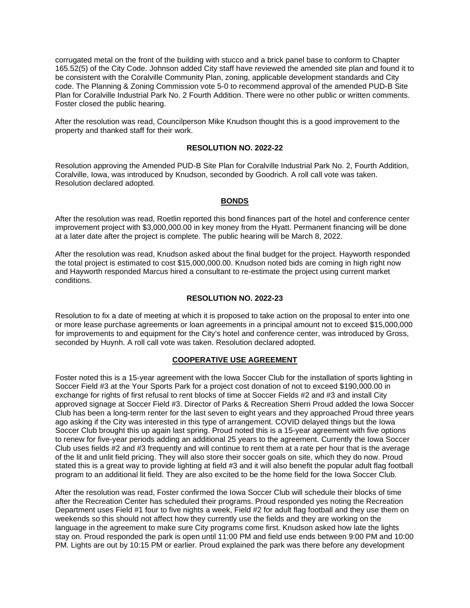corrugated metal on the front of the building with stucco and a brick panel base to conform to Chapter 165.52(5) of the City Code. Johnson added City staff have reviewed the amended site plan and found it to be consistent with the Coralville Community Plan, zoning, applicable development standards and City code. The Planning & Zoning Commission vote 5-0 to recommend approval of the amended PUD-B Site Plan for Coralville Industrial Park No. 2 Fourth Addition. There were no other public or written comments. Foster closed the public hearing.

After the resolution was read, Councilperson Mike Knudson thought this is a good improvement to the property and thanked staff for their work.

#### **RESOLUTION NO. 2022-22**

Resolution approving the Amended PUD-B Site Plan for Coralville Industrial Park No. 2, Fourth Addition, Coralville, Iowa, was introduced by Knudson, seconded by Goodrich. A roll call vote was taken. Resolution declared adopted.

#### **BONDS**

After the resolution was read, Roetlin reported this bond finances part of the hotel and conference center improvement project with \$3,000,000.00 in key money from the Hyatt. Permanent financing will be done at a later date after the project is complete. The public hearing will be March 8, 2022.

After the resolution was read, Knudson asked about the final budget for the project. Hayworth responded the total project is estimated to cost \$15,000,000.00. Knudson noted bids are coming in high right now and Hayworth responded Marcus hired a consultant to re-estimate the project using current market conditions.

### **RESOLUTION NO. 2022-23**

Resolution to fix a date of meeting at which it is proposed to take action on the proposal to enter into one or more lease purchase agreements or loan agreements in a principal amount not to exceed \$15,000,000 for improvements to and equipment for the City's hotel and conference center, was introduced by Gross, seconded by Huynh. A roll call vote was taken. Resolution declared adopted.

#### **COOPERATIVE USE AGREEMENT**

Foster noted this is a 15-year agreement with the Iowa Soccer Club for the installation of sports lighting in Soccer Field #3 at the Your Sports Park for a project cost donation of not to exceed \$190,000.00 in exchange for rights of first refusal to rent blocks of time at Soccer Fields #2 and #3 and install City approved signage at Soccer Field #3. Director of Parks & Recreation Sherri Proud added the Iowa Soccer Club has been a long-term renter for the last seven to eight years and they approached Proud three years ago asking if the City was interested in this type of arrangement. COVID delayed things but the Iowa Soccer Club brought this up again last spring. Proud noted this is a 15-year agreement with five options to renew for five-year periods adding an additional 25 years to the agreement. Currently the Iowa Soccer Club uses fields #2 and #3 frequently and will continue to rent them at a rate per hour that is the average of the lit and unlit field pricing. They will also store their soccer goals on site, which they do now. Proud stated this is a great way to provide lighting at field #3 and it will also benefit the popular adult flag football program to an additional lit field. They are also excited to be the home field for the Iowa Soccer Club.

After the resolution was read, Foster confirmed the Iowa Soccer Club will schedule their blocks of time after the Recreation Center has scheduled their programs. Proud responded yes noting the Recreation Department uses Field #1 four to five nights a week, Field #2 for adult flag football and they use them on weekends so this should not affect how they currently use the fields and they are working on the language in the agreement to make sure City programs come first. Knudson asked how late the lights stay on. Proud responded the park is open until 11:00 PM and field use ends between 9:00 PM and 10:00 PM. Lights are out by 10:15 PM or earlier. Proud explained the park was there before any development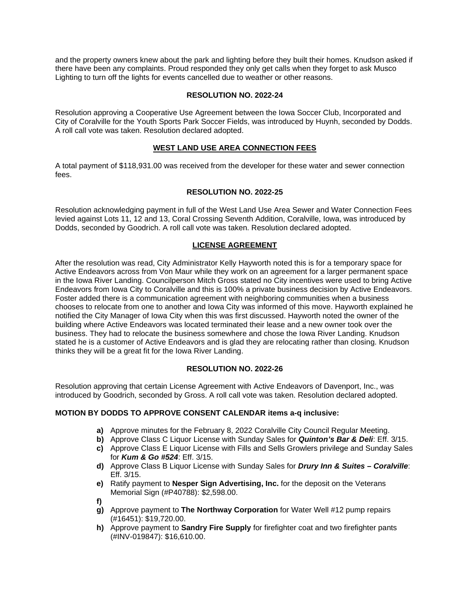and the property owners knew about the park and lighting before they built their homes. Knudson asked if there have been any complaints. Proud responded they only get calls when they forget to ask Musco Lighting to turn off the lights for events cancelled due to weather or other reasons.

## **RESOLUTION NO. 2022-24**

Resolution approving a Cooperative Use Agreement between the Iowa Soccer Club, Incorporated and City of Coralville for the Youth Sports Park Soccer Fields, was introduced by Huynh, seconded by Dodds. A roll call vote was taken. Resolution declared adopted.

# **WEST LAND USE AREA CONNECTION FEES**

A total payment of \$118,931.00 was received from the developer for these water and sewer connection fees.

## **RESOLUTION NO. 2022-25**

Resolution acknowledging payment in full of the West Land Use Area Sewer and Water Connection Fees levied against Lots 11, 12 and 13, Coral Crossing Seventh Addition, Coralville, Iowa, was introduced by Dodds, seconded by Goodrich. A roll call vote was taken. Resolution declared adopted.

# **LICENSE AGREEMENT**

After the resolution was read, City Administrator Kelly Hayworth noted this is for a temporary space for Active Endeavors across from Von Maur while they work on an agreement for a larger permanent space in the Iowa River Landing. Councilperson Mitch Gross stated no City incentives were used to bring Active Endeavors from Iowa City to Coralville and this is 100% a private business decision by Active Endeavors. Foster added there is a communication agreement with neighboring communities when a business chooses to relocate from one to another and Iowa City was informed of this move. Hayworth explained he notified the City Manager of Iowa City when this was first discussed. Hayworth noted the owner of the building where Active Endeavors was located terminated their lease and a new owner took over the business. They had to relocate the business somewhere and chose the Iowa River Landing. Knudson stated he is a customer of Active Endeavors and is glad they are relocating rather than closing. Knudson thinks they will be a great fit for the Iowa River Landing.

## **RESOLUTION NO. 2022-26**

Resolution approving that certain License Agreement with Active Endeavors of Davenport, Inc., was introduced by Goodrich, seconded by Gross. A roll call vote was taken. Resolution declared adopted.

## **MOTION BY DODDS TO APPROVE CONSENT CALENDAR items a-q inclusive:**

- **a)** Approve minutes for the February 8, 2022 Coralville City Council Regular Meeting.
- **b)** Approve Class C Liquor License with Sunday Sales for *Quinton's Bar & Deli*: Eff. 3/15.
- **c)** Approve Class E Liquor License with Fills and Sells Growlers privilege and Sunday Sales for *Kum & Go #524*: Eff. 3/15.
- **d)** Approve Class B Liquor License with Sunday Sales for *Drury Inn & Suites – Coralville*: Eff. 3/15.
- **e)** Ratify payment to **Nesper Sign Advertising, Inc.** for the deposit on the Veterans Memorial Sign (#P40788): \$2,598.00.
- **f)**
- **g)** Approve payment to **The Northway Corporation** for Water Well #12 pump repairs (#16451): \$19,720.00.
- **h)** Approve payment to **Sandry Fire Supply** for firefighter coat and two firefighter pants (#INV-019847): \$16,610.00.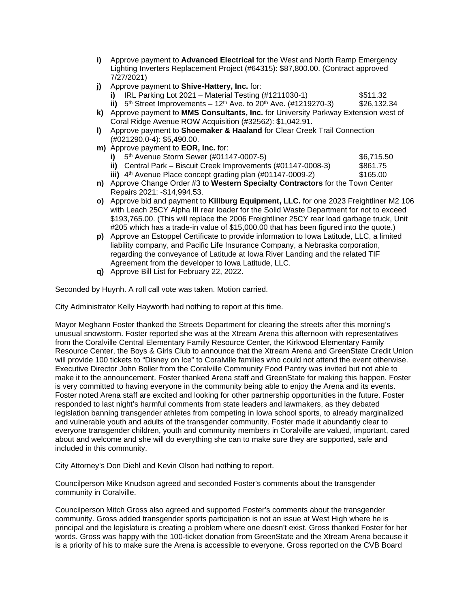- **i)** Approve payment to **Advanced Electrical** for the West and North Ramp Emergency Lighting Inverters Replacement Project (#64315): \$87,800.00. (Contract approved 7/27/2021)
- **j)** Approve payment to **Shive-Hattery, Inc.** for:
	- **i)** IRL Parking Lot 2021 Material Testing (#1211030-1) \$511.32 **ii)**  $5^{th}$  Street Improvements –  $12^{th}$  Ave. to  $20^{th}$  Ave.  $(#1219270-3)$  \$26,132.34
- **k)** Approve payment to **MMS Consultants, Inc.** for University Parkway Extension west of Coral Ridge Avenue ROW Acquisition (#32562): \$1,042.91.
- **l)** Approve payment to **Shoemaker & Haaland** for Clear Creek Trail Connection (#021290.0-4): \$5,490.00.
- **m)** Approve payment to **EOR, Inc.** for:
	- **i)** 5<sup>th</sup> Avenue Storm Sewer (#01147-0007-5) **5th** Avenue Storm Sewer (#01147-0007-5) \$6,715.50<br> **ii)** Central Park Biscuit Creek Improvements (#01147-0008-3) \$861.75
	- **ii)** Central Park Biscuit Creek Improvements (#01147-0008-3).
	- **iii)**  $4^{\text{th}}$  Avenue Place concept grading plan (#01147-0009-2) \$165.00
- **n)** Approve Change Order #3 to **Western Specialty Contractors** for the Town Center Repairs 2021: -\$14,994.53.
- **o)** Approve bid and payment to **Killburg Equipment, LLC.** for one 2023 Freightliner M2 106 with Leach 25CY Alpha III rear loader for the Solid Waste Department for not to exceed \$193,765.00. (This will replace the 2006 Freightliner 25CY rear load garbage truck, Unit #205 which has a trade-in value of \$15,000.00 that has been figured into the quote.)
- **p)** Approve an Estoppel Certificate to provide information to Iowa Latitude, LLC, a limited liability company, and Pacific Life Insurance Company, a Nebraska corporation, regarding the conveyance of Latitude at Iowa River Landing and the related TIF Agreement from the developer to Iowa Latitude, LLC.
- **q)** Approve Bill List for February 22, 2022.

Seconded by Huynh. A roll call vote was taken. Motion carried.

City Administrator Kelly Hayworth had nothing to report at this time.

Mayor Meghann Foster thanked the Streets Department for clearing the streets after this morning's unusual snowstorm. Foster reported she was at the Xtream Arena this afternoon with representatives from the Coralville Central Elementary Family Resource Center, the Kirkwood Elementary Family Resource Center, the Boys & Girls Club to announce that the Xtream Arena and GreenState Credit Union will provide 100 tickets to "Disney on Ice" to Coralville families who could not attend the event otherwise. Executive Director John Boller from the Coralville Community Food Pantry was invited but not able to make it to the announcement. Foster thanked Arena staff and GreenState for making this happen. Foster is very committed to having everyone in the community being able to enjoy the Arena and its events. Foster noted Arena staff are excited and looking for other partnership opportunities in the future. Foster responded to last night's harmful comments from state leaders and lawmakers, as they debated legislation banning transgender athletes from competing in Iowa school sports, to already marginalized and vulnerable youth and adults of the transgender community. Foster made it abundantly clear to everyone transgender children, youth and community members in Coralville are valued, important, cared about and welcome and she will do everything she can to make sure they are supported, safe and included in this community.

City Attorney's Don Diehl and Kevin Olson had nothing to report.

Councilperson Mike Knudson agreed and seconded Foster's comments about the transgender community in Coralville.

Councilperson Mitch Gross also agreed and supported Foster's comments about the transgender community. Gross added transgender sports participation is not an issue at West High where he is principal and the legislature is creating a problem where one doesn't exist. Gross thanked Foster for her words. Gross was happy with the 100-ticket donation from GreenState and the Xtream Arena because it is a priority of his to make sure the Arena is accessible to everyone. Gross reported on the CVB Board